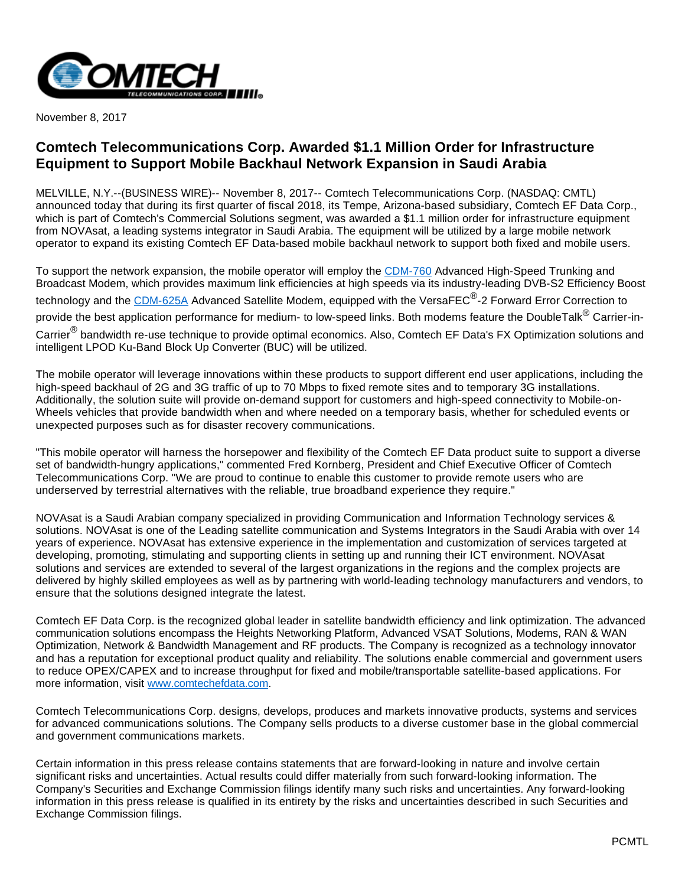

November 8, 2017

## **Comtech Telecommunications Corp. Awarded \$1.1 Million Order for Infrastructure Equipment to Support Mobile Backhaul Network Expansion in Saudi Arabia**

MELVILLE, N.Y.--(BUSINESS WIRE)-- November 8, 2017-- Comtech Telecommunications Corp. (NASDAQ: CMTL) announced today that during its first quarter of fiscal 2018, its Tempe, Arizona-based subsidiary, Comtech EF Data Corp., which is part of Comtech's Commercial Solutions segment, was awarded a \$1.1 million order for infrastructure equipment from NOVAsat, a leading systems integrator in Saudi Arabia. The equipment will be utilized by a large mobile network operator to expand its existing Comtech EF Data-based mobile backhaul network to support both fixed and mobile users.

To support the network expansion, the mobile operator will employ the [CDM-760](http://cts.businesswire.com/ct/CT?id=smartlink&url=https%3A%2F%2Fwww.comtechefdata.com%2Fproducts%2Fsatellite-modems%2Fcdm-760&esheet=51713277&newsitemid=20171108006347&lan=en-US&anchor=CDM-760&index=1&md5=71903f6c19bd2cc10db606374fe91177) Advanced High-Speed Trunking and Broadcast Modem, which provides maximum link efficiencies at high speeds via its industry-leading DVB-S2 Efficiency Boost technology and the <u>[CDM-625A](http://cts.businesswire.com/ct/CT?id=smartlink&url=https%3A%2F%2Fwww.comtechefdata.com%2Fproducts%2Fsatellite-modems%2Fcdm-625a&esheet=51713277&newsitemid=20171108006347&lan=en-US&anchor=CDM-625A&index=2&md5=3746c7fd59351c46302a8c4195fecbf2)</u> Advanced Satellite Modem, equipped with the VersaFEC<sup>®</sup>-2 Forward Error Correction to provide the best application performance for medium- to low-speed links. Both modems feature the DoubleTalk<sup>®</sup> Carrier-in-Carrier<sup>®</sup> bandwidth re-use technique to provide optimal economics. Also, Comtech EF Data's FX Optimization solutions and intelligent LPOD Ku-Band Block Up Converter (BUC) will be utilized.

The mobile operator will leverage innovations within these products to support different end user applications, including the high-speed backhaul of 2G and 3G traffic of up to 70 Mbps to fixed remote sites and to temporary 3G installations. Additionally, the solution suite will provide on-demand support for customers and high-speed connectivity to Mobile-on-Wheels vehicles that provide bandwidth when and where needed on a temporary basis, whether for scheduled events or unexpected purposes such as for disaster recovery communications.

"This mobile operator will harness the horsepower and flexibility of the Comtech EF Data product suite to support a diverse set of bandwidth-hungry applications," commented Fred Kornberg, President and Chief Executive Officer of Comtech Telecommunications Corp. "We are proud to continue to enable this customer to provide remote users who are underserved by terrestrial alternatives with the reliable, true broadband experience they require."

NOVAsat is a Saudi Arabian company specialized in providing Communication and Information Technology services & solutions. NOVAsat is one of the Leading satellite communication and Systems Integrators in the Saudi Arabia with over 14 years of experience. NOVAsat has extensive experience in the implementation and customization of services targeted at developing, promoting, stimulating and supporting clients in setting up and running their ICT environment. NOVAsat solutions and services are extended to several of the largest organizations in the regions and the complex projects are delivered by highly skilled employees as well as by partnering with world-leading technology manufacturers and vendors, to ensure that the solutions designed integrate the latest.

Comtech EF Data Corp. is the recognized global leader in satellite bandwidth efficiency and link optimization. The advanced communication solutions encompass the Heights Networking Platform, Advanced VSAT Solutions, Modems, RAN & WAN Optimization, Network & Bandwidth Management and RF products. The Company is recognized as a technology innovator and has a reputation for exceptional product quality and reliability. The solutions enable commercial and government users to reduce OPEX/CAPEX and to increase throughput for fixed and mobile/transportable satellite-based applications. For more information, visit [www.comtechefdata.com.](http://cts.businesswire.com/ct/CT?id=smartlink&url=http%3A%2F%2Fwww.comtechefdata.com&esheet=51713277&newsitemid=20171108006347&lan=en-US&anchor=www.comtechefdata.com&index=3&md5=9568879f0d01dfaacc94e9c75a329d3b)

Comtech Telecommunications Corp. designs, develops, produces and markets innovative products, systems and services for advanced communications solutions. The Company sells products to a diverse customer base in the global commercial and government communications markets.

Certain information in this press release contains statements that are forward-looking in nature and involve certain significant risks and uncertainties. Actual results could differ materially from such forward-looking information. The Company's Securities and Exchange Commission filings identify many such risks and uncertainties. Any forward-looking information in this press release is qualified in its entirety by the risks and uncertainties described in such Securities and Exchange Commission filings.